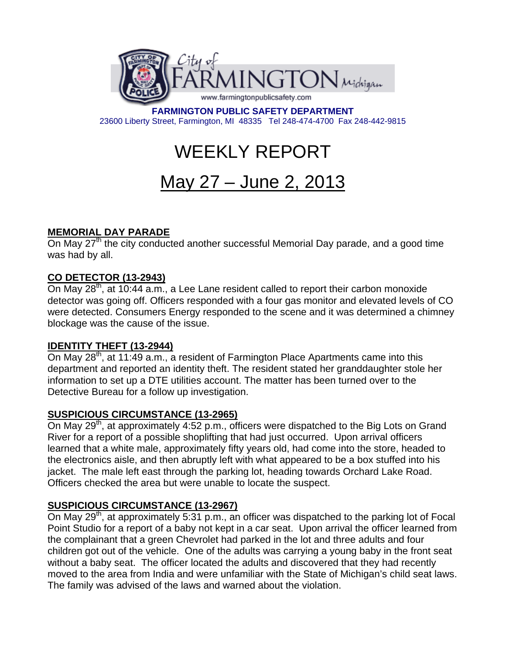

**FARMINGTON PUBLIC SAFETY DEPARTMENT**  23600 Liberty Street, Farmington, MI 48335 Tel 248-474-4700 Fax 248-442-9815

# WEEKLY REPORT

## May 27 – June 2, 2013

## **MEMORIAL DAY PARADE**

On May 27<sup>th</sup> the city conducted another successful Memorial Day parade, and a good time was had by all.

## **CO DETECTOR (13-2943)**

On May  $28<sup>th</sup>$ , at 10:44 a.m., a Lee Lane resident called to report their carbon monoxide detector was going off. Officers responded with a four gas monitor and elevated levels of CO were detected. Consumers Energy responded to the scene and it was determined a chimney blockage was the cause of the issue.

## **IDENTITY THEFT (13-2944)**

On May 28<sup>th</sup>, at 11:49 a.m., a resident of Farmington Place Apartments came into this department and reported an identity theft. The resident stated her granddaughter stole her information to set up a DTE utilities account. The matter has been turned over to the Detective Bureau for a follow up investigation.

## **SUSPICIOUS CIRCUMSTANCE (13-2965)**

On May 29<sup>th</sup>, at approximately 4:52 p.m., officers were dispatched to the Big Lots on Grand River for a report of a possible shoplifting that had just occurred. Upon arrival officers learned that a white male, approximately fifty years old, had come into the store, headed to the electronics aisle, and then abruptly left with what appeared to be a box stuffed into his jacket. The male left east through the parking lot, heading towards Orchard Lake Road. Officers checked the area but were unable to locate the suspect.

## **SUSPICIOUS CIRCUMSTANCE (13-2967)**

On May 29<sup>th</sup>, at approximately 5:31 p.m., an officer was dispatched to the parking lot of Focal Point Studio for a report of a baby not kept in a car seat. Upon arrival the officer learned from the complainant that a green Chevrolet had parked in the lot and three adults and four children got out of the vehicle. One of the adults was carrying a young baby in the front seat without a baby seat. The officer located the adults and discovered that they had recently moved to the area from India and were unfamiliar with the State of Michigan's child seat laws. The family was advised of the laws and warned about the violation.